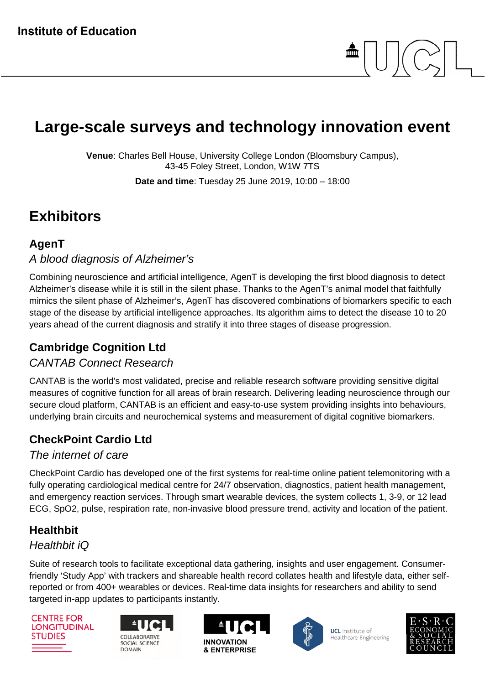

# **Large-scale surveys and technology innovation event**

**Venue**: Charles Bell House, University College London (Bloomsbury Campus), 43-45 Foley Street, London, W1W 7TS

**Date and time**: Tuesday 25 June 2019, 10:00 – 18:00

# **Exhibitors**

## **AgenT**

#### *A blood diagnosis of Alzheimer's*

Combining neuroscience and artificial intelligence, AgenT is developing the first blood diagnosis to detect Alzheimer's disease while it is still in the silent phase. Thanks to the AgenT's animal model that faithfully mimics the silent phase of Alzheimer's, AgenT has discovered combinations of biomarkers specific to each stage of the disease by artificial intelligence approaches. Its algorithm aims to detect the disease 10 to 20 years ahead of the current diagnosis and stratify it into three stages of disease progression.

## **Cambridge Cognition Ltd**

#### *CANTAB Connect Research*

CANTAB is the world's most validated, precise and reliable research software providing sensitive digital measures of cognitive function for all areas of brain research. Delivering leading neuroscience through our secure cloud platform, CANTAB is an efficient and easy-to-use system providing insights into behaviours, underlying brain circuits and neurochemical systems and measurement of digital cognitive biomarkers.

# **CheckPoint Cardio Ltd**

#### *The internet of care*

CheckPoint Cardio has developed one of the first systems for real-time online patient telemonitoring with a fully operating cardiological medical centre for 24/7 observation, diagnostics, patient health management, and emergency reaction services. Through smart wearable devices, the system collects 1, 3-9, or 12 lead ECG, SpO2, pulse, respiration rate, non-invasive blood pressure trend, activity and location of the patient.

# **Healthbit**

#### *Healthbit iQ*

Suite of research tools to facilitate exceptional data gathering, insights and user engagement. Consumerfriendly 'Study App' with trackers and shareable health record collates health and lifestyle data, either selfreported or from 400+ wearables or devices. Real-time data insights for researchers and ability to send targeted in-app updates to participants instantly.

**CENTRE FOR LONGITUDINAL STUDIES** 







**UCL** Institute of Healthcare Engineering